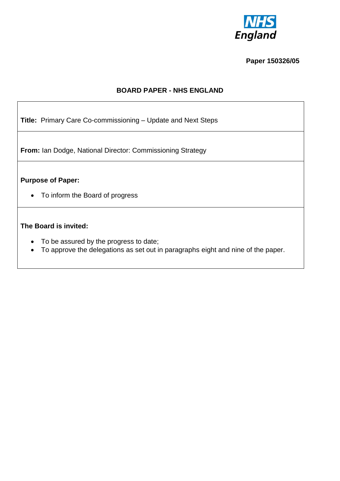

#### **Paper 150326/05**

## **BOARD PAPER - NHS ENGLAND**

**Title:** Primary Care Co-commissioning – Update and Next Steps

**From:** Ian Dodge, National Director: Commissioning Strategy

## **Purpose of Paper:**

To inform the Board of progress

## **The Board is invited:**

- To be assured by the progress to date;
- To approve the delegations as set out in paragraphs eight and nine of the paper.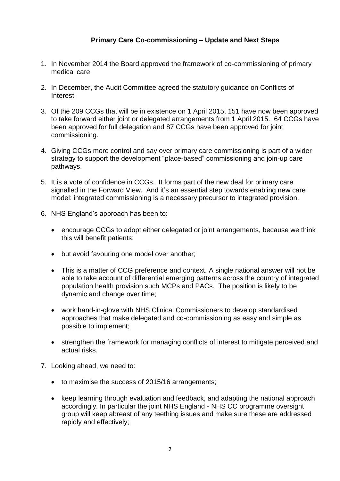# **Primary Care Co-commissioning – Update and Next Steps**

- 1. In November 2014 the Board approved the framework of co-commissioning of primary medical care.
- 2. In December, the Audit Committee agreed the statutory guidance on Conflicts of Interest.
- 3. Of the 209 CCGs that will be in existence on 1 April 2015, 151 have now been approved to take forward either joint or delegated arrangements from 1 April 2015. 64 CCGs have been approved for full delegation and 87 CCGs have been approved for joint commissioning.
- 4. Giving CCGs more control and say over primary care commissioning is part of a wider strategy to support the development "place-based" commissioning and join-up care pathways.
- 5. It is a vote of confidence in CCGs. It forms part of the new deal for primary care signalled in the Forward View. And it's an essential step towards enabling new care model: integrated commissioning is a necessary precursor to integrated provision.
- 6. NHS England's approach has been to:
	- encourage CCGs to adopt either delegated or joint arrangements, because we think this will benefit patients;
	- but avoid favouring one model over another;
	- This is a matter of CCG preference and context. A single national answer will not be able to take account of differential emerging patterns across the country of integrated population health provision such MCPs and PACs. The position is likely to be dynamic and change over time;
	- work hand-in-glove with NHS Clinical Commissioners to develop standardised approaches that make delegated and co-commissioning as easy and simple as possible to implement;
	- strengthen the framework for managing conflicts of interest to mitigate perceived and actual risks.
- 7. Looking ahead, we need to:
	- to maximise the success of 2015/16 arrangements;
	- keep learning through evaluation and feedback, and adapting the national approach accordingly. In particular the joint NHS England - NHS CC programme oversight group will keep abreast of any teething issues and make sure these are addressed rapidly and effectively;